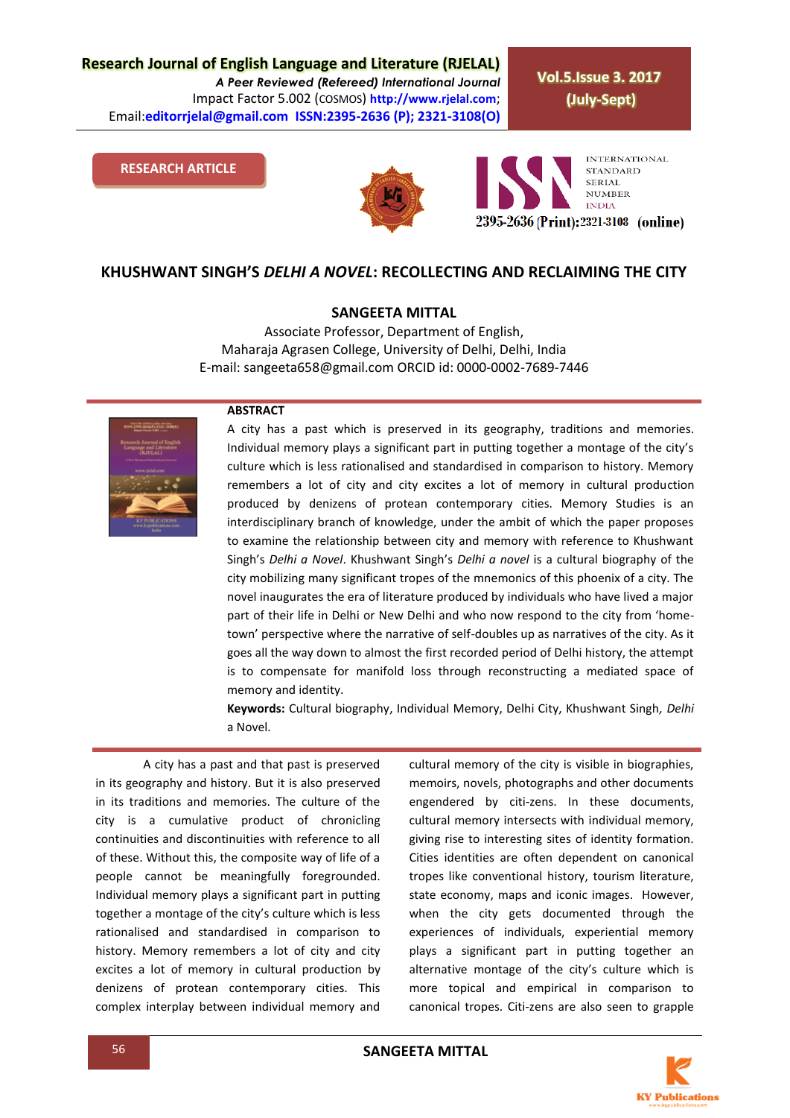**Research Journal of English Language and Literature (RJELAL)** *A Peer Reviewed (Refereed) International Journal* Impact Factor 5.002 (COSMOS) **http://www.rjelal.com**; Email:**editorrjelal@gmail.com ISSN:2395-2636 (P); 2321-3108(O)** 

**Vol.5.Issue 3. 2017 (July-Sept)**

#### **RESEARCH ARTICLE**





### **KHUSHWANT SINGH'S** *DELHI A NOVEL***: RECOLLECTING AND RECLAIMING THE CITY**

#### **SANGEETA MITTAL**

Associate Professor, Department of English, Maharaja Agrasen College, University of Delhi, Delhi, India E-mail[: sangeeta658@gmail.com](mailto:sangeeta658@gmail.com) ORCID id: 0000-0002-7689-7446

#### **ABSTRACT**



A city has a past which is preserved in its geography, traditions and memories. Individual memory plays a significant part in putting together a montage of the city's culture which is less rationalised and standardised in comparison to history. Memory remembers a lot of city and city excites a lot of memory in cultural production produced by denizens of protean contemporary cities. Memory Studies is an interdisciplinary branch of knowledge, under the ambit of which the paper proposes to examine the relationship between city and memory with reference to Khushwant Singh's *Delhi a Novel*. Khushwant Singh's *Delhi a novel* is a cultural biography of the city mobilizing many significant tropes of the mnemonics of this phoenix of a city. The novel inaugurates the era of literature produced by individuals who have lived a major part of their life in Delhi or New Delhi and who now respond to the city from 'hometown' perspective where the narrative of self-doubles up as narratives of the city. As it goes all the way down to almost the first recorded period of Delhi history, the attempt is to compensate for manifold loss through reconstructing a mediated space of memory and identity.

**Keywords:** Cultural biography, Individual Memory, Delhi City, Khushwant Singh*, Delhi* a Novel.

A city has a past and that past is preserved in its geography and history. But it is also preserved in its traditions and memories. The culture of the city is a cumulative product of chronicling continuities and discontinuities with reference to all of these. Without this, the composite way of life of a people cannot be meaningfully foregrounded. Individual memory plays a significant part in putting together a montage of the city's culture which is less rationalised and standardised in comparison to history. Memory remembers a lot of city and city excites a lot of memory in cultural production by denizens of protean contemporary cities. This complex interplay between individual memory and

cultural memory of the city is visible in biographies, memoirs, novels, photographs and other documents engendered by citi-zens. In these documents, cultural memory intersects with individual memory, giving rise to interesting sites of identity formation. Cities identities are often dependent on canonical tropes like conventional history, tourism literature, state economy, maps and iconic images. However, when the city gets documented through the experiences of individuals, experiential memory plays a significant part in putting together an alternative montage of the city's culture which is more topical and empirical in comparison to canonical tropes. Citi-zens are also seen to grapple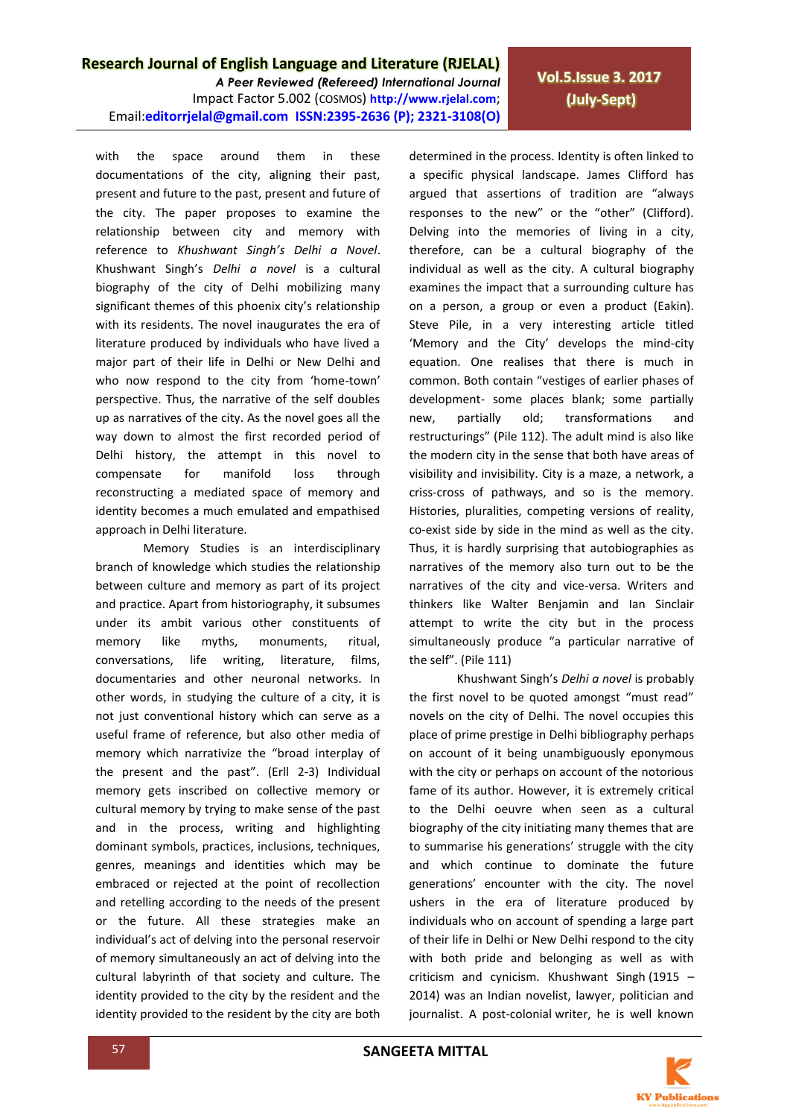*A Peer Reviewed (Refereed) International Journal* Impact Factor 5.002 (COSMOS) **http://www.rjelal.com**; Email:**editorrjelal@gmail.com ISSN:2395-2636 (P); 2321-3108(O)** 

with the space around them in these documentations of the city, aligning their past, present and future to the past, present and future of the city. The paper proposes to examine the relationship between city and memory with reference to *Khushwant Singh's Delhi a Novel*. Khushwant Singh's *Delhi a novel* is a cultural biography of the city of Delhi mobilizing many significant themes of this phoenix city's relationship with its residents. The novel inaugurates the era of literature produced by individuals who have lived a major part of their life in Delhi or New Delhi and who now respond to the city from 'home-town' perspective. Thus, the narrative of the self doubles up as narratives of the city. As the novel goes all the way down to almost the first recorded period of Delhi history, the attempt in this novel to compensate for manifold loss through reconstructing a mediated space of memory and identity becomes a much emulated and empathised approach in Delhi literature.

Memory Studies is an interdisciplinary branch of knowledge which studies the relationship between culture and memory as part of its project and practice. Apart from historiography, it subsumes under its ambit various other constituents of memory like myths, monuments, ritual, conversations, life writing, literature, films, documentaries and other neuronal networks. In other words, in studying the culture of a city, it is not just conventional history which can serve as a useful frame of reference, but also other media of memory which narrativize the "broad interplay of the present and the past". (Erll 2-3) Individual memory gets inscribed on collective memory or cultural memory by trying to make sense of the past and in the process, writing and highlighting dominant symbols, practices, inclusions, techniques, genres, meanings and identities which may be embraced or rejected at the point of recollection and retelling according to the needs of the present or the future. All these strategies make an individual's act of delving into the personal reservoir of memory simultaneously an act of delving into the cultural labyrinth of that society and culture. The identity provided to the city by the resident and the identity provided to the resident by the city are both

determined in the process. Identity is often linked to a specific physical landscape. James Clifford has argued that assertions of tradition are "always responses to the new" or the "other" (Clifford). Delving into the memories of living in a city, therefore, can be a cultural biography of the individual as well as the city. A cultural biography examines the impact that a surrounding culture has on a person, a group or even a product (Eakin). Steve Pile, in a very interesting article titled 'Memory and the City' develops the mind-city equation. One realises that there is much in common. Both contain "vestiges of earlier phases of development- some places blank; some partially new, partially old; transformations and restructurings" (Pile 112). The adult mind is also like the modern city in the sense that both have areas of visibility and invisibility. City is a maze, a network, a criss-cross of pathways, and so is the memory. Histories, pluralities, competing versions of reality, co-exist side by side in the mind as well as the city. Thus, it is hardly surprising that autobiographies as narratives of the memory also turn out to be the narratives of the city and vice-versa. Writers and thinkers like Walter Benjamin and Ian Sinclair attempt to write the city but in the process simultaneously produce "a particular narrative of the self". (Pile 111)

**Vol.5.Issue 3. 2017 (July-Sept)**

Khushwant Singh's *Delhi a novel* is probably the first novel to be quoted amongst "must read" novels on the city of Delhi. The novel occupies this place of prime prestige in Delhi bibliography perhaps on account of it being unambiguously eponymous with the city or perhaps on account of the notorious fame of its author. However, it is extremely critical to the Delhi oeuvre when seen as a cultural biography of the city initiating many themes that are to summarise his generations' struggle with the city and which continue to dominate the future generations' encounter with the city. The novel ushers in the era of literature produced by individuals who on account of spending a large part of their life in Delhi or New Delhi respond to the city with both pride and belonging as well as with criticism and cynicism. Khushwant Singh (1915 – 2014) was an Indian novelist, lawyer, politician and journalist. A post-colonial writer, he is well known

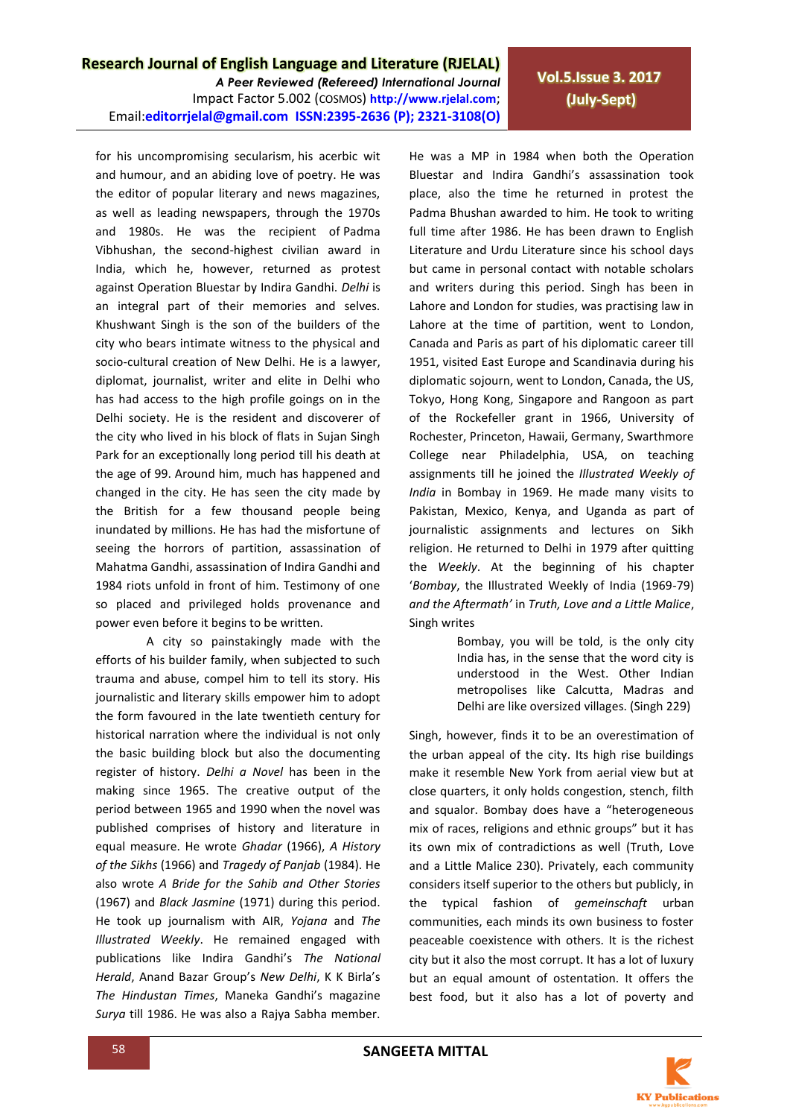*A Peer Reviewed (Refereed) International Journal* Impact Factor 5.002 (COSMOS) **http://www.rjelal.com**; Email:**editorrjelal@gmail.com ISSN:2395-2636 (P); 2321-3108(O)**  **Vol.5.Issue 3. 2017 (July-Sept)**

for his uncompromising secularism, his acerbic wit and humour, and an abiding love of poetry. He was the editor of popular literary and news magazines, as well as leading newspapers, through the 1970s and 1980s. He was the recipient of Padma Vibhushan, the second-highest civilian award in India, which he, however, returned as protest against Operation Bluestar by Indira Gandhi. *Delhi* is an integral part of their memories and selves. Khushwant Singh is the son of the builders of the city who bears intimate witness to the physical and socio-cultural creation of New Delhi. He is a lawyer, diplomat, journalist, writer and elite in Delhi who has had access to the high profile goings on in the Delhi society. He is the resident and discoverer of the city who lived in his block of flats in Sujan Singh Park for an exceptionally long period till his death at the age of 99. Around him, much has happened and changed in the city. He has seen the city made by the British for a few thousand people being inundated by millions. He has had the misfortune of seeing the horrors of partition, assassination of Mahatma Gandhi, assassination of Indira Gandhi and 1984 riots unfold in front of him. Testimony of one so placed and privileged holds provenance and power even before it begins to be written.

A city so painstakingly made with the efforts of his builder family, when subjected to such trauma and abuse, compel him to tell its story. His journalistic and literary skills empower him to adopt the form favoured in the late twentieth century for historical narration where the individual is not only the basic building block but also the documenting register of history. *Delhi a Novel* has been in the making since 1965. The creative output of the period between 1965 and 1990 when the novel was published comprises of history and literature in equal measure. He wrote *Ghadar* (1966), *A History of the Sikhs* (1966) and *Tragedy of Panjab* (1984). He also wrote *A Bride for the Sahib and Other Stories* (1967) and *Black Jasmine* (1971) during this period. He took up journalism with AIR, *Yojana* and *The Illustrated Weekly*. He remained engaged with publications like Indira Gandhi's *The National Herald*, Anand Bazar Group's *New Delhi*, K K Birla's *The Hindustan Times*, Maneka Gandhi's magazine *Surya* till 1986. He was also a Rajya Sabha member. He was a MP in 1984 when both the Operation Bluestar and Indira Gandhi's assassination took place, also the time he returned in protest the Padma Bhushan awarded to him. He took to writing full time after 1986. He has been drawn to English Literature and Urdu Literature since his school days but came in personal contact with notable scholars and writers during this period. Singh has been in Lahore and London for studies, was practising law in Lahore at the time of partition, went to London, Canada and Paris as part of his diplomatic career till 1951, visited East Europe and Scandinavia during his diplomatic sojourn, went to London, Canada, the US, Tokyo, Hong Kong, Singapore and Rangoon as part of the Rockefeller grant in 1966, University of Rochester, Princeton, Hawaii, Germany, Swarthmore College near Philadelphia, USA, on teaching assignments till he joined the *Illustrated Weekly of India* in Bombay in 1969. He made many visits to Pakistan, Mexico, Kenya, and Uganda as part of journalistic assignments and lectures on Sikh religion. He returned to Delhi in 1979 after quitting the *Weekly*. At the beginning of his chapter '*Bombay*, the Illustrated Weekly of India (1969-79) *and the Aftermath'* in *Truth, Love and a Little Malice*, Singh writes

> Bombay, you will be told, is the only city India has, in the sense that the word city is understood in the West. Other Indian metropolises like Calcutta, Madras and Delhi are like oversized villages. (Singh 229)

Singh, however, finds it to be an overestimation of the urban appeal of the city. Its high rise buildings make it resemble New York from aerial view but at close quarters, it only holds congestion, stench, filth and squalor. Bombay does have a "heterogeneous mix of races, religions and ethnic groups" but it has its own mix of contradictions as well (Truth, Love and a Little Malice 230). Privately, each community considers itself superior to the others but publicly, in the typical fashion of *gemeinschaft* urban communities, each minds its own business to foster peaceable coexistence with others. It is the richest city but it also the most corrupt. It has a lot of luxury but an equal amount of ostentation. It offers the best food, but it also has a lot of poverty and

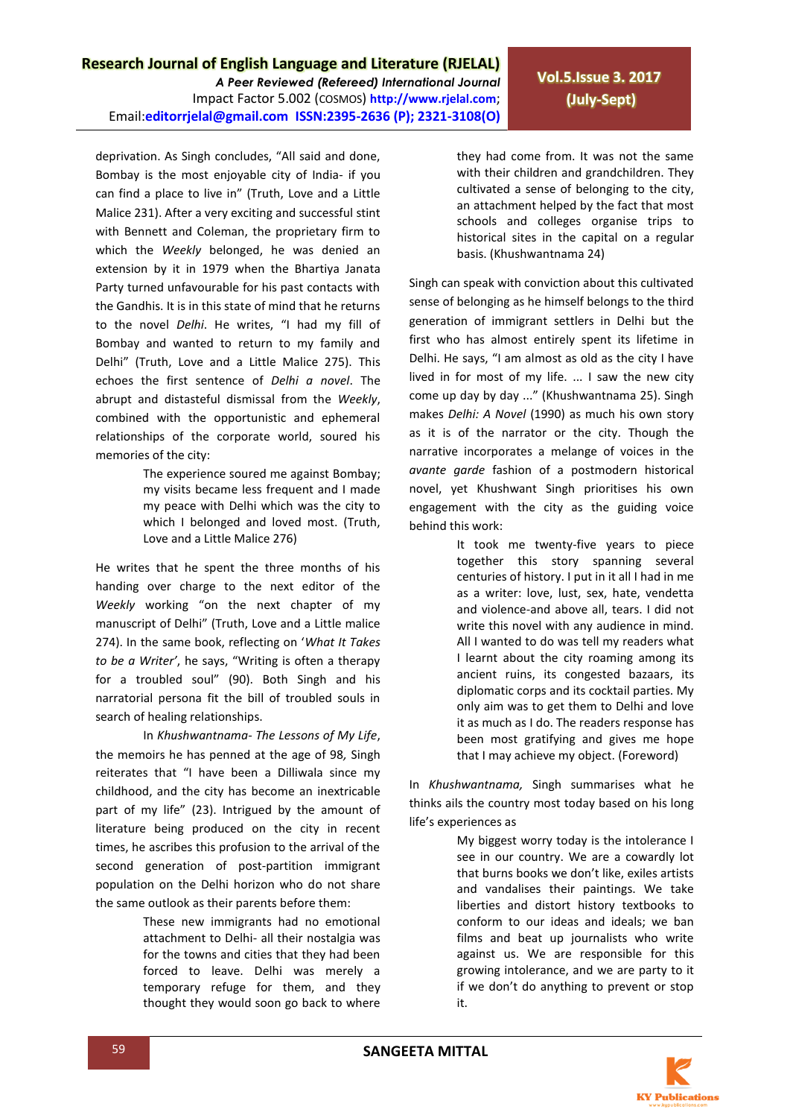*A Peer Reviewed (Refereed) International Journal* Impact Factor 5.002 (COSMOS) **http://www.rjelal.com**; Email:**editorrjelal@gmail.com ISSN:2395-2636 (P); 2321-3108(O)** 

deprivation. As Singh concludes, "All said and done, Bombay is the most enjoyable city of India- if you can find a place to live in" (Truth, Love and a Little Malice 231). After a very exciting and successful stint with Bennett and Coleman, the proprietary firm to which the *Weekly* belonged, he was denied an extension by it in 1979 when the Bhartiya Janata Party turned unfavourable for his past contacts with the Gandhis. It is in this state of mind that he returns to the novel *Delhi*. He writes, "I had my fill of Bombay and wanted to return to my family and Delhi" (Truth, Love and a Little Malice 275). This echoes the first sentence of *Delhi a novel*. The abrupt and distasteful dismissal from the *Weekly*, combined with the opportunistic and ephemeral relationships of the corporate world, soured his memories of the city:

> The experience soured me against Bombay; my visits became less frequent and I made my peace with Delhi which was the city to which I belonged and loved most. (Truth, Love and a Little Malice 276)

He writes that he spent the three months of his handing over charge to the next editor of the *Weekly* working "on the next chapter of my manuscript of Delhi" (Truth, Love and a Little malice 274). In the same book, reflecting on '*What It Takes to be a Writer'*, he says, "Writing is often a therapy for a troubled soul" (90). Both Singh and his narratorial persona fit the bill of troubled souls in search of healing relationships.

In *Khushwantnama- The Lessons of My Life*, the memoirs he has penned at the age of 98*,* Singh reiterates that "I have been a Dilliwala since my childhood, and the city has become an inextricable part of my life" (23). Intrigued by the amount of literature being produced on the city in recent times, he ascribes this profusion to the arrival of the second generation of post-partition immigrant population on the Delhi horizon who do not share the same outlook as their parents before them:

> These new immigrants had no emotional attachment to Delhi- all their nostalgia was for the towns and cities that they had been forced to leave. Delhi was merely a temporary refuge for them, and they thought they would soon go back to where

**Vol.5.Issue 3. 2017 (July-Sept)**

they had come from. It was not the same with their children and grandchildren. They cultivated a sense of belonging to the city, an attachment helped by the fact that most schools and colleges organise trips to historical sites in the capital on a regular basis. (Khushwantnama 24)

Singh can speak with conviction about this cultivated sense of belonging as he himself belongs to the third generation of immigrant settlers in Delhi but the first who has almost entirely spent its lifetime in Delhi. He says, "I am almost as old as the city I have lived in for most of my life. ... I saw the new city come up day by day ..." (Khushwantnama 25). Singh makes *Delhi: A Novel* (1990) as much his own story as it is of the narrator or the city. Though the narrative incorporates a melange of voices in the *avante garde* fashion of a postmodern historical novel, yet Khushwant Singh prioritises his own engagement with the city as the guiding voice behind this work:

> It took me twenty-five years to piece together this story spanning several centuries of history. I put in it all I had in me as a writer: love, lust, sex, hate, vendetta and violence-and above all, tears. I did not write this novel with any audience in mind. All I wanted to do was tell my readers what I learnt about the city roaming among its ancient ruins, its congested bazaars, its diplomatic corps and its cocktail parties. My only aim was to get them to Delhi and love it as much as I do. The readers response has been most gratifying and gives me hope that I may achieve my object. (Foreword)

In *Khushwantnama,* Singh summarises what he thinks ails the country most today based on his long life's experiences as

> My biggest worry today is the intolerance I see in our country. We are a cowardly lot that burns books we don't like, exiles artists and vandalises their paintings. We take liberties and distort history textbooks to conform to our ideas and ideals; we ban films and beat up journalists who write against us. We are responsible for this growing intolerance, and we are party to it if we don't do anything to prevent or stop it.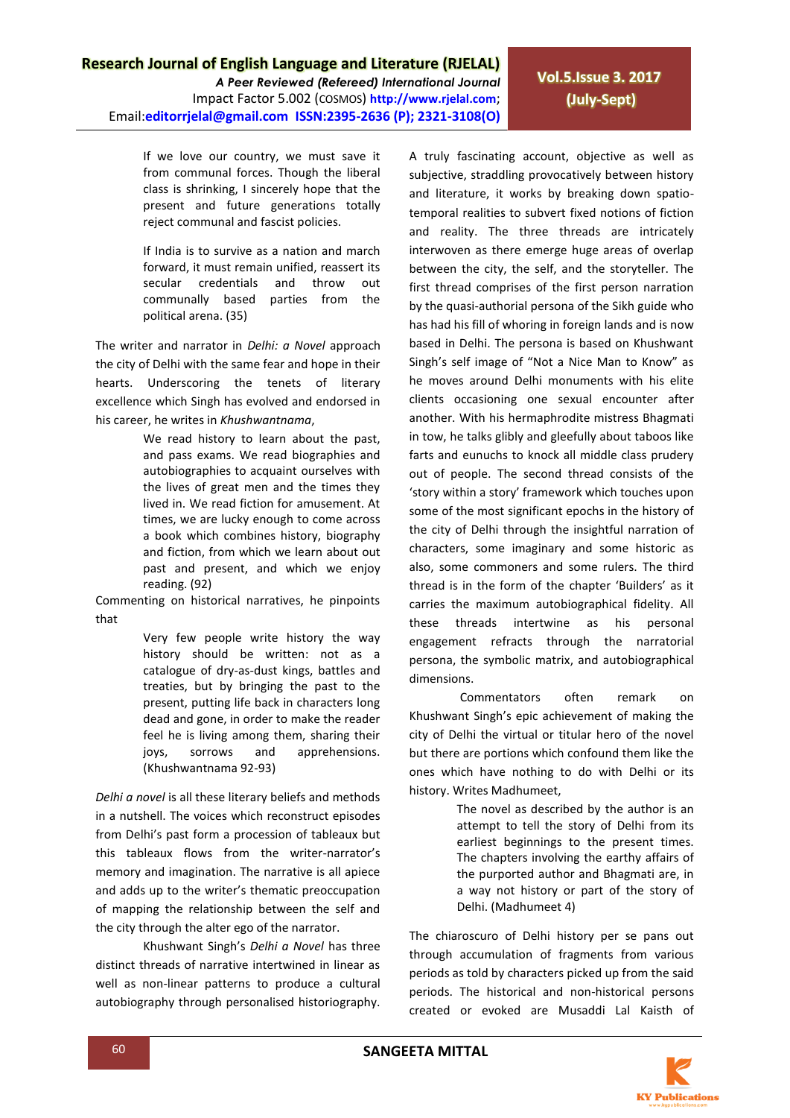*A Peer Reviewed (Refereed) International Journal* Impact Factor 5.002 (COSMOS) **http://www.rjelal.com**; Email:**editorrjelal@gmail.com ISSN:2395-2636 (P); 2321-3108(O)** 

**Vol.5.Issue 3. 2017 (July-Sept)**

If we love our country, we must save it from communal forces. Though the liberal class is shrinking, I sincerely hope that the present and future generations totally reject communal and fascist policies.

If India is to survive as a nation and march forward, it must remain unified, reassert its secular credentials and throw out communally based parties from the political arena. (35)

The writer and narrator in *Delhi: a Novel* approach the city of Delhi with the same fear and hope in their hearts. Underscoring the tenets of literary excellence which Singh has evolved and endorsed in his career, he writes in *Khushwantnama*,

> We read history to learn about the past, and pass exams. We read biographies and autobiographies to acquaint ourselves with the lives of great men and the times they lived in. We read fiction for amusement. At times, we are lucky enough to come across a book which combines history, biography and fiction, from which we learn about out past and present, and which we enjoy reading. (92)

Commenting on historical narratives, he pinpoints that

> Very few people write history the way history should be written: not as a catalogue of dry-as-dust kings, battles and treaties, but by bringing the past to the present, putting life back in characters long dead and gone, in order to make the reader feel he is living among them, sharing their joys, sorrows and apprehensions. (Khushwantnama 92-93)

*Delhi a novel* is all these literary beliefs and methods in a nutshell. The voices which reconstruct episodes from Delhi's past form a procession of tableaux but this tableaux flows from the writer-narrator's memory and imagination. The narrative is all apiece and adds up to the writer's thematic preoccupation of mapping the relationship between the self and the city through the alter ego of the narrator.

Khushwant Singh's *Delhi a Novel* has three distinct threads of narrative intertwined in linear as well as non-linear patterns to produce a cultural autobiography through personalised historiography.

A truly fascinating account, objective as well as subjective, straddling provocatively between history and literature, it works by breaking down spatiotemporal realities to subvert fixed notions of fiction and reality. The three threads are intricately interwoven as there emerge huge areas of overlap between the city, the self, and the storyteller. The first thread comprises of the first person narration by the quasi-authorial persona of the Sikh guide who has had his fill of whoring in foreign lands and is now based in Delhi. The persona is based on Khushwant Singh's self image of "Not a Nice Man to Know" as he moves around Delhi monuments with his elite clients occasioning one sexual encounter after another. With his hermaphrodite mistress Bhagmati in tow, he talks glibly and gleefully about taboos like farts and eunuchs to knock all middle class prudery out of people. The second thread consists of the 'story within a story' framework which touches upon some of the most significant epochs in the history of the city of Delhi through the insightful narration of characters, some imaginary and some historic as also, some commoners and some rulers. The third thread is in the form of the chapter 'Builders' as it carries the maximum autobiographical fidelity. All these threads intertwine as his personal engagement refracts through the narratorial persona, the symbolic matrix, and autobiographical dimensions.

Commentators often remark on Khushwant Singh's epic achievement of making the city of Delhi the virtual or titular hero of the novel but there are portions which confound them like the ones which have nothing to do with Delhi or its history. Writes Madhumeet,

> The novel as described by the author is an attempt to tell the story of Delhi from its earliest beginnings to the present times. The chapters involving the earthy affairs of the purported author and Bhagmati are, in a way not history or part of the story of Delhi. (Madhumeet 4)

The chiaroscuro of Delhi history per se pans out through accumulation of fragments from various periods as told by characters picked up from the said periods. The historical and non-historical persons created or evoked are Musaddi Lal Kaisth of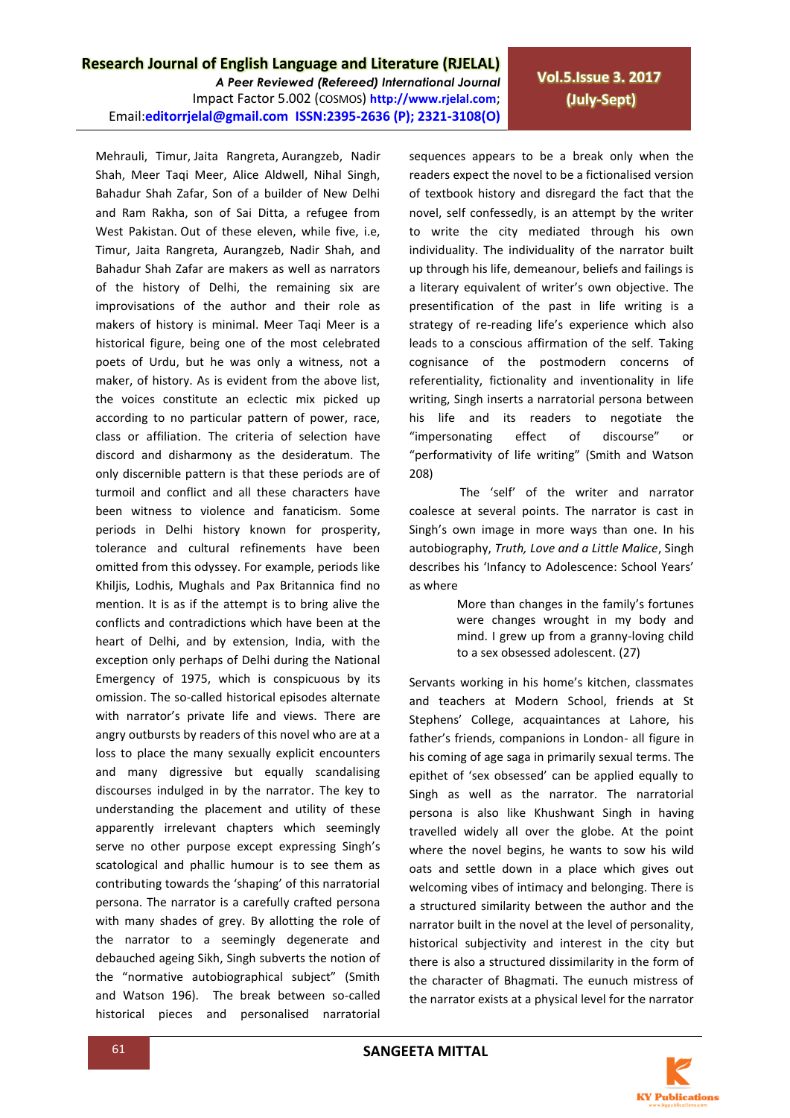*A Peer Reviewed (Refereed) International Journal* Impact Factor 5.002 (COSMOS) **http://www.rjelal.com**; Email:**editorrjelal@gmail.com ISSN:2395-2636 (P); 2321-3108(O)**  **Vol.5.Issue 3. 2017 (July-Sept)**

Mehrauli, Timur, Jaita Rangreta, Aurangzeb, Nadir Shah, Meer Taqi Meer, Alice Aldwell, Nihal Singh, Bahadur Shah Zafar, Son of a builder of New Delhi and Ram Rakha, son of Sai Ditta, a refugee from West Pakistan. Out of these eleven, while five, i.e, Timur, Jaita Rangreta, Aurangzeb, Nadir Shah, and Bahadur Shah Zafar are makers as well as narrators of the history of Delhi, the remaining six are improvisations of the author and their role as makers of history is minimal. Meer Taqi Meer is a historical figure, being one of the most celebrated poets of Urdu, but he was only a witness, not a maker, of history. As is evident from the above list, the voices constitute an eclectic mix picked up according to no particular pattern of power, race, class or affiliation. The criteria of selection have discord and disharmony as the desideratum. The only discernible pattern is that these periods are of turmoil and conflict and all these characters have been witness to violence and fanaticism. Some periods in Delhi history known for prosperity, tolerance and cultural refinements have been omitted from this odyssey. For example, periods like Khiljis, Lodhis, Mughals and Pax Britannica find no mention. It is as if the attempt is to bring alive the conflicts and contradictions which have been at the heart of Delhi, and by extension, India, with the exception only perhaps of Delhi during the National Emergency of 1975, which is conspicuous by its omission. The so-called historical episodes alternate with narrator's private life and views. There are angry outbursts by readers of this novel who are at a loss to place the many sexually explicit encounters and many digressive but equally scandalising discourses indulged in by the narrator. The key to understanding the placement and utility of these apparently irrelevant chapters which seemingly serve no other purpose except expressing Singh's scatological and phallic humour is to see them as contributing towards the 'shaping' of this narratorial persona. The narrator is a carefully crafted persona with many shades of grey. By allotting the role of the narrator to a seemingly degenerate and debauched ageing Sikh, Singh subverts the notion of the "normative autobiographical subject" (Smith and Watson 196). The break between so-called historical pieces and personalised narratorial

sequences appears to be a break only when the readers expect the novel to be a fictionalised version of textbook history and disregard the fact that the novel, self confessedly, is an attempt by the writer to write the city mediated through his own individuality. The individuality of the narrator built up through his life, demeanour, beliefs and failings is a literary equivalent of writer's own objective. The presentification of the past in life writing is a strategy of re-reading life's experience which also leads to a conscious affirmation of the self. Taking cognisance of the postmodern concerns of referentiality, fictionality and inventionality in life writing, Singh inserts a narratorial persona between his life and its readers to negotiate the "impersonating effect of discourse" or "performativity of life writing" (Smith and Watson 208)

The 'self' of the writer and narrator coalesce at several points. The narrator is cast in Singh's own image in more ways than one. In his autobiography, *Truth, Love and a Little Malice*, Singh describes his 'Infancy to Adolescence: School Years' as where

> More than changes in the family's fortunes were changes wrought in my body and mind. I grew up from a granny-loving child to a sex obsessed adolescent. (27)

Servants working in his home's kitchen, classmates and teachers at Modern School, friends at St Stephens' College, acquaintances at Lahore, his father's friends, companions in London- all figure in his coming of age saga in primarily sexual terms. The epithet of 'sex obsessed' can be applied equally to Singh as well as the narrator. The narratorial persona is also like Khushwant Singh in having travelled widely all over the globe. At the point where the novel begins, he wants to sow his wild oats and settle down in a place which gives out welcoming vibes of intimacy and belonging. There is a structured similarity between the author and the narrator built in the novel at the level of personality, historical subjectivity and interest in the city but there is also a structured dissimilarity in the form of the character of Bhagmati. The eunuch mistress of the narrator exists at a physical level for the narrator

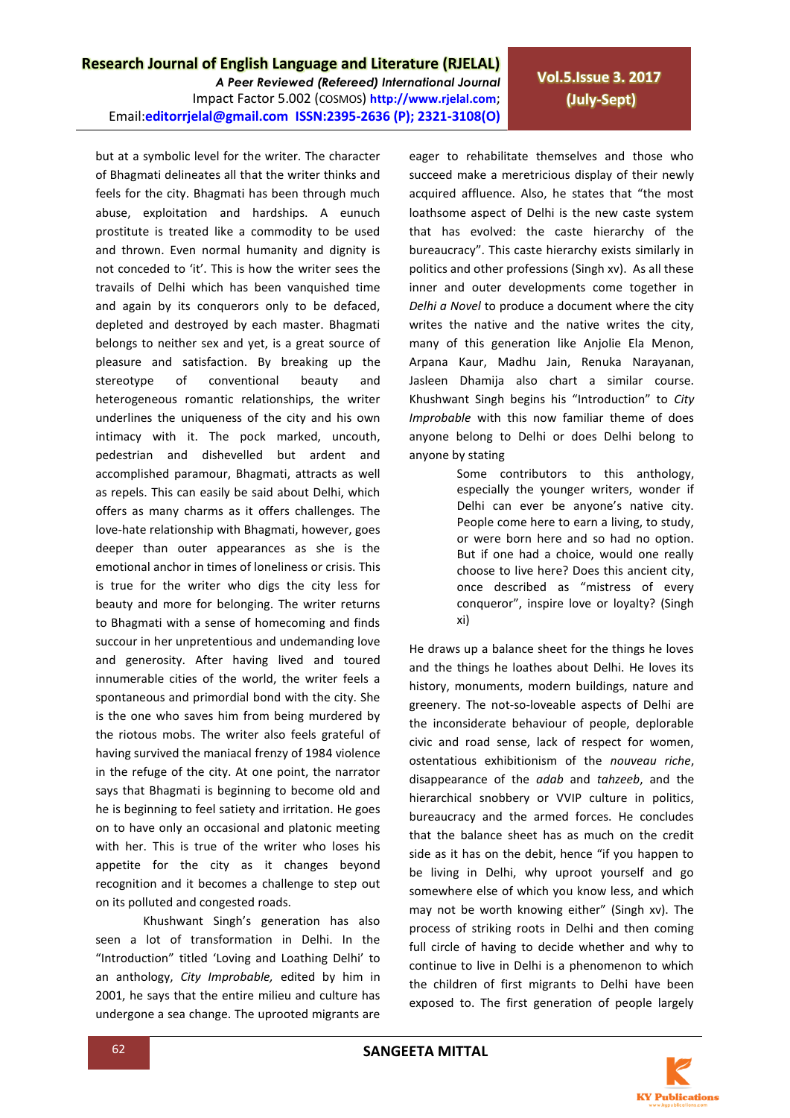*A Peer Reviewed (Refereed) International Journal* Impact Factor 5.002 (COSMOS) **http://www.rjelal.com**; Email:**editorrjelal@gmail.com ISSN:2395-2636 (P); 2321-3108(O)** 

but at a symbolic level for the writer. The character of Bhagmati delineates all that the writer thinks and feels for the city. Bhagmati has been through much abuse, exploitation and hardships. A eunuch prostitute is treated like a commodity to be used and thrown. Even normal humanity and dignity is not conceded to 'it'. This is how the writer sees the travails of Delhi which has been vanquished time and again by its conquerors only to be defaced, depleted and destroyed by each master. Bhagmati belongs to neither sex and yet, is a great source of pleasure and satisfaction. By breaking up the stereotype of conventional beauty and heterogeneous romantic relationships, the writer underlines the uniqueness of the city and his own intimacy with it. The pock marked, uncouth, pedestrian and dishevelled but ardent and accomplished paramour, Bhagmati, attracts as well as repels. This can easily be said about Delhi, which offers as many charms as it offers challenges. The love-hate relationship with Bhagmati, however, goes deeper than outer appearances as she is the emotional anchor in times of loneliness or crisis. This is true for the writer who digs the city less for beauty and more for belonging. The writer returns to Bhagmati with a sense of homecoming and finds succour in her unpretentious and undemanding love and generosity. After having lived and toured innumerable cities of the world, the writer feels a spontaneous and primordial bond with the city. She is the one who saves him from being murdered by the riotous mobs. The writer also feels grateful of having survived the maniacal frenzy of 1984 violence in the refuge of the city. At one point, the narrator says that Bhagmati is beginning to become old and he is beginning to feel satiety and irritation. He goes on to have only an occasional and platonic meeting with her. This is true of the writer who loses his appetite for the city as it changes beyond recognition and it becomes a challenge to step out on its polluted and congested roads.

Khushwant Singh's generation has also seen a lot of transformation in Delhi. In the "Introduction" titled 'Loving and Loathing Delhi' to an anthology, *City Improbable,* edited by him in 2001, he says that the entire milieu and culture has undergone a sea change. The uprooted migrants are

eager to rehabilitate themselves and those who succeed make a meretricious display of their newly acquired affluence. Also, he states that "the most loathsome aspect of Delhi is the new caste system that has evolved: the caste hierarchy of the bureaucracy". This caste hierarchy exists similarly in politics and other professions (Singh xv). As all these inner and outer developments come together in *Delhi a Novel* to produce a document where the city writes the native and the native writes the city, many of this generation like Anjolie Ela Menon, Arpana Kaur, Madhu Jain, Renuka Narayanan, Jasleen Dhamija also chart a similar course. Khushwant Singh begins his "Introduction" to *City Improbable* with this now familiar theme of does anyone belong to Delhi or does Delhi belong to anyone by stating

> Some contributors to this anthology, especially the younger writers, wonder if Delhi can ever be anyone's native city. People come here to earn a living, to study, or were born here and so had no option. But if one had a choice, would one really choose to live here? Does this ancient city, once described as "mistress of every conqueror", inspire love or loyalty? (Singh xi)

He draws up a balance sheet for the things he loves and the things he loathes about Delhi. He loves its history, monuments, modern buildings, nature and greenery. The not-so-loveable aspects of Delhi are the inconsiderate behaviour of people, deplorable civic and road sense, lack of respect for women, ostentatious exhibitionism of the *nouveau riche*, disappearance of the *adab* and *tahzeeb*, and the hierarchical snobbery or VVIP culture in politics, bureaucracy and the armed forces. He concludes that the balance sheet has as much on the credit side as it has on the debit, hence "if you happen to be living in Delhi, why uproot yourself and go somewhere else of which you know less, and which may not be worth knowing either" (Singh xv). The process of striking roots in Delhi and then coming full circle of having to decide whether and why to continue to live in Delhi is a phenomenon to which the children of first migrants to Delhi have been exposed to. The first generation of people largely

**Vol.5.Issue 3. 2017 (July-Sept)**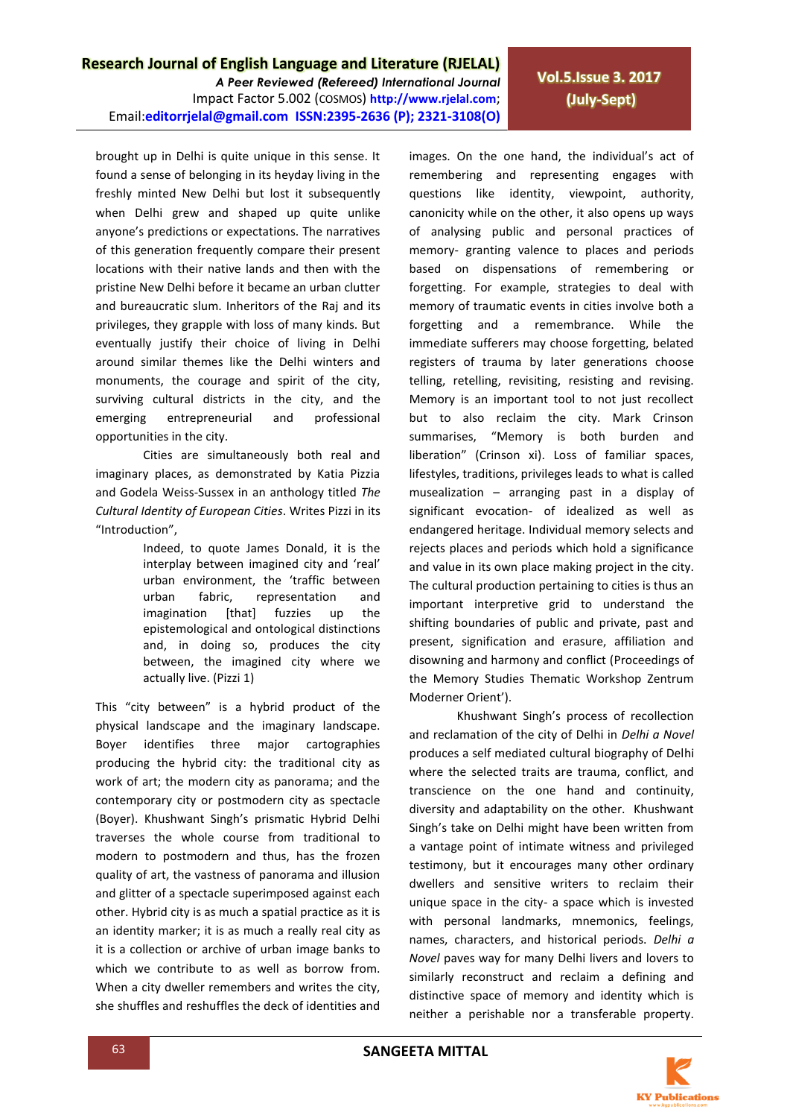*A Peer Reviewed (Refereed) International Journal* Impact Factor 5.002 (COSMOS) **http://www.rjelal.com**; Email:**editorrjelal@gmail.com ISSN:2395-2636 (P); 2321-3108(O)** 

**Vol.5.Issue 3. 2017 (July-Sept)**

brought up in Delhi is quite unique in this sense. It found a sense of belonging in its heyday living in the freshly minted New Delhi but lost it subsequently when Delhi grew and shaped up quite unlike anyone's predictions or expectations. The narratives of this generation frequently compare their present locations with their native lands and then with the pristine New Delhi before it became an urban clutter and bureaucratic slum. Inheritors of the Raj and its privileges, they grapple with loss of many kinds. But eventually justify their choice of living in Delhi around similar themes like the Delhi winters and monuments, the courage and spirit of the city, surviving cultural districts in the city, and the emerging entrepreneurial and professional opportunities in the city.

Cities are simultaneously both real and imaginary places, as demonstrated by Katia Pizzia and Godela Weiss-Sussex in an anthology titled *The Cultural Identity of European Cities*. Writes Pizzi in its "Introduction",

> Indeed, to quote James Donald, it is the interplay between imagined city and 'real' urban environment, the 'traffic between urban fabric, representation and imagination [that] fuzzies up the epistemological and ontological distinctions and, in doing so, produces the city between, the imagined city where we actually live. (Pizzi 1)

This "city between" is a hybrid product of the physical landscape and the imaginary landscape. Boyer identifies three major cartographies producing the hybrid city: the traditional city as work of art; the modern city as panorama; and the contemporary city or postmodern city as spectacle (Boyer). Khushwant Singh's prismatic Hybrid Delhi traverses the whole course from traditional to modern to postmodern and thus, has the frozen quality of art, the vastness of panorama and illusion and glitter of a spectacle superimposed against each other. Hybrid city is as much a spatial practice as it is an identity marker; it is as much a really real city as it is a collection or archive of urban image banks to which we contribute to as well as borrow from. When a city dweller remembers and writes the city, she shuffles and reshuffles the deck of identities and

images. On the one hand, the individual's act of remembering and representing engages with questions like identity, viewpoint, authority, canonicity while on the other, it also opens up ways of analysing public and personal practices of memory- granting valence to places and periods based on dispensations of remembering or forgetting. For example, strategies to deal with memory of traumatic events in cities involve both a forgetting and a remembrance. While the immediate sufferers may choose forgetting, belated registers of trauma by later generations choose telling, retelling, revisiting, resisting and revising. Memory is an important tool to not just recollect but to also reclaim the city. Mark Crinson summarises, "Memory is both burden and liberation" (Crinson xi). Loss of familiar spaces, lifestyles, traditions, privileges leads to what is called musealization – arranging past in a display of significant evocation- of idealized as well as endangered heritage. Individual memory selects and rejects places and periods which hold a significance and value in its own place making project in the city. The cultural production pertaining to cities is thus an important interpretive grid to understand the shifting boundaries of public and private, past and present, signification and erasure, affiliation and disowning and harmony and conflict (Proceedings of the Memory Studies Thematic Workshop Zentrum Moderner Orient').

Khushwant Singh's process of recollection and reclamation of the city of Delhi in *Delhi a Novel* produces a self mediated cultural biography of Delhi where the selected traits are trauma, conflict, and transcience on the one hand and continuity, diversity and adaptability on the other. Khushwant Singh's take on Delhi might have been written from a vantage point of intimate witness and privileged testimony, but it encourages many other ordinary dwellers and sensitive writers to reclaim their unique space in the city- a space which is invested with personal landmarks, mnemonics, feelings, names, characters, and historical periods. *Delhi a Novel* paves way for many Delhi livers and lovers to similarly reconstruct and reclaim a defining and distinctive space of memory and identity which is neither a perishable nor a transferable property.

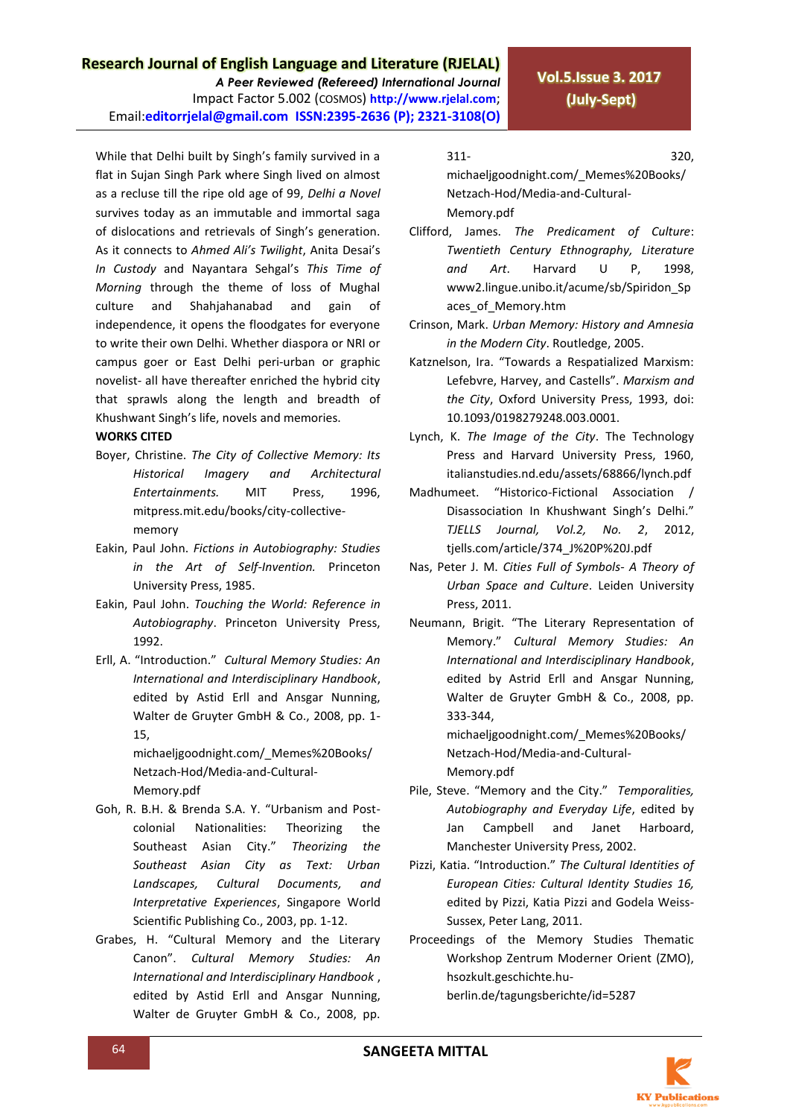*A Peer Reviewed (Refereed) International Journal* Impact Factor 5.002 (COSMOS) **http://www.rjelal.com**; Email:**editorrjelal@gmail.com ISSN:2395-2636 (P); 2321-3108(O)** 

While that Delhi built by Singh's family survived in a flat in Sujan Singh Park where Singh lived on almost as a recluse till the ripe old age of 99, *Delhi a Novel* survives today as an immutable and immortal saga of dislocations and retrievals of Singh's generation. As it connects to *Ahmed Ali's Twilight*, Anita Desai's *In Custody* and Nayantara Sehgal's *This Time of Morning* through the theme of loss of Mughal culture and Shahjahanabad and gain of independence, it opens the floodgates for everyone to write their own Delhi. Whether diaspora or NRI or campus goer or East Delhi peri-urban or graphic novelist- all have thereafter enriched the hybrid city that sprawls along the length and breadth of Khushwant Singh's life, novels and memories.

#### **WORKS CITED**

- Boyer, Christine. *The City of Collective Memory: Its Historical Imagery and Architectural Entertainments.* MIT Press, 1996, mitpress.mit.edu/books/city-collectivememory
- Eakin, Paul John. *Fictions in Autobiography: Studies in the Art of Self-Invention.* Princeton University Press, 1985.
- Eakin, Paul John. *Touching the World: Reference in Autobiography*. Princeton University Press, 1992.
- Erll, A. "Introduction." *Cultural Memory Studies: An International and Interdisciplinary Handbook*, edited by Astid Erll and Ansgar Nunning, Walter de Gruyter GmbH & Co., 2008, pp. 1- 15,

michaeljgoodnight.com/\_Memes%20Books/ Netzach-Hod/Media-and-Cultural-Memory.pdf

- Goh, R. B.H. & Brenda S.A. Y. "Urbanism and Postcolonial Nationalities: Theorizing the Southeast Asian City." *Theorizing the Southeast Asian City as Text: Urban Landscapes, Cultural Documents, and Interpretative Experiences*, Singapore World Scientific Publishing Co., 2003, pp. 1-12.
- Grabes, H. "Cultural Memory and the Literary Canon". *Cultural Memory Studies: An International and Interdisciplinary Handbook* , edited by Astid Erll and Ansgar Nunning, Walter de Gruyter GmbH & Co., 2008, pp.

311- 320, michaeljgoodnight.com/\_Memes%20Books/ Netzach-Hod/Media-and-Cultural-Memory.pdf

Clifford, James. *The Predicament of Culture*: *Twentieth Century Ethnography, Literature and Art*. Harvard U P, 1998, www2.lingue.unibo.it/acume/sb/Spiridon\_Sp aces of Memory.htm

- Crinson, Mark. *Urban Memory: History and Amnesia in the Modern City*. Routledge, 2005.
- Katznelson, Ira. "Towards a Respatialized Marxism: Lefebvre, Harvey, and Castells". *Marxism and the City*, Oxford University Press, 1993, doi: 10.1093/0198279248.003.0001.
- Lynch, K. *The Image of the City*. The Technology Press and Harvard University Press, 1960, italianstudies.nd.edu/assets/68866/lynch.pdf
- Madhumeet. "Historico-Fictional Association / Disassociation In Khushwant Singh's Delhi." *TJELLS Journal, Vol.2, No. 2*, 2012, tjells.com/article/374\_J%20P%20J.pdf
- Nas, Peter J. M. *Cities Full of Symbols- A Theory of Urban Space and Culture*. Leiden University Press, 2011.
- Neumann, Brigit. "The Literary Representation of Memory." *Cultural Memory Studies: An International and Interdisciplinary Handbook*, edited by Astrid Erll and Ansgar Nunning, Walter de Gruyter GmbH & Co., 2008, pp. 333-344,

michaeljgoodnight.com/\_Memes%20Books/ Netzach-Hod/Media-and-Cultural-Memory.pdf

- Pile, Steve. "Memory and the City." *Temporalities, Autobiography and Everyday Life*, edited by Jan Campbell and Janet Harboard, Manchester University Press, 2002.
- Pizzi, Katia. "Introduction." *The Cultural Identities of European Cities: Cultural Identity Studies 16,*  edited by Pizzi, Katia Pizzi and Godela Weiss-Sussex, Peter Lang, 2011.
- Proceedings of the Memory Studies Thematic Workshop Zentrum Moderner Orient (ZMO), hsozkult.geschichte.huberlin.de/tagungsberichte/id=5287